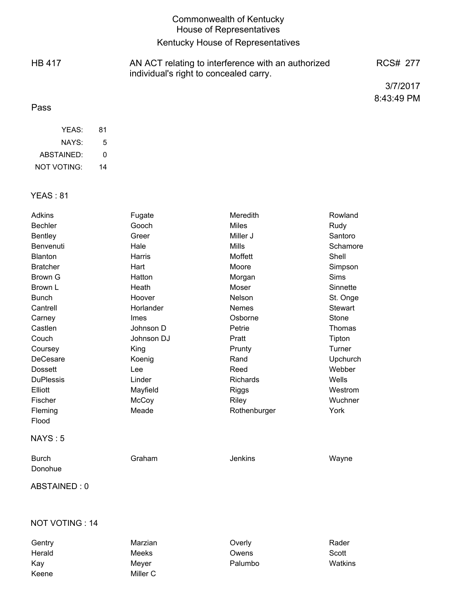|               | Commonwealth of Kentucky<br><b>House of Representatives</b>                                  |            |
|---------------|----------------------------------------------------------------------------------------------|------------|
|               | Kentucky House of Representatives                                                            |            |
| <b>HB 417</b> | AN ACT relating to interference with an authorized<br>individual's right to concealed carry. | RCS# 277   |
|               |                                                                                              | 3/7/2017   |
| Pass          |                                                                                              | 8:43:49 PM |

| YFAS:              | 81 |
|--------------------|----|
| NAYS:              | 5  |
| ABSTAINED:         | O  |
| <b>NOT VOTING:</b> | 14 |

Keene Miller C

## YEAS : 81

| <b>Adkins</b><br>Fugate    |              | Meredith        | Rowland            |  |
|----------------------------|--------------|-----------------|--------------------|--|
| Gooch<br><b>Bechler</b>    |              | <b>Miles</b>    | Rudy               |  |
| <b>Bentley</b><br>Greer    |              | Miller J        | Santoro            |  |
| Hale<br>Benvenuti          |              | <b>Mills</b>    | Schamore           |  |
| <b>Blanton</b>             | Harris       | Moffett         | Shell              |  |
| <b>Bratcher</b>            | Hart         | Moore           | Simpson            |  |
| <b>Brown G</b>             | Hatton       | Morgan          | <b>Sims</b>        |  |
| Brown L                    | Heath        | Moser           | Sinnette           |  |
| <b>Bunch</b>               | Hoover       | Nelson          | St. Onge           |  |
| Cantrell                   | Horlander    | <b>Nemes</b>    | Stewart            |  |
| <b>Imes</b><br>Carney      |              | Osborne         | Stone              |  |
| Castlen                    | Johnson D    | Petrie          | Thomas             |  |
| Couch                      | Johnson DJ   | Pratt           | Tipton             |  |
| Coursey                    | King         | Prunty          | Turner<br>Upchurch |  |
| <b>DeCesare</b>            | Koenig       | Rand            |                    |  |
| <b>Dossett</b>             | Lee          | Reed            | Webber             |  |
| <b>DuPlessis</b><br>Linder |              | <b>Richards</b> | Wells              |  |
| Elliott                    | Mayfield     | <b>Riggs</b>    | Westrom            |  |
| Fischer                    | McCoy        | Riley           | Wuchner            |  |
| Fleming                    | Meade        | Rothenburger    | York               |  |
| Flood                      |              |                 |                    |  |
| NAYS:5                     |              |                 |                    |  |
| <b>Burch</b>               | Graham       | <b>Jenkins</b>  | Wayne              |  |
| Donohue                    |              |                 |                    |  |
| ABSTAINED: 0               |              |                 |                    |  |
|                            |              |                 |                    |  |
| NOT VOTING: 14             |              |                 |                    |  |
| Gentry                     | Marzian      | Overly          | Rader              |  |
| Herald                     | <b>Meeks</b> | Owens           | Scott              |  |

Kay Meyer Palumbo Watkins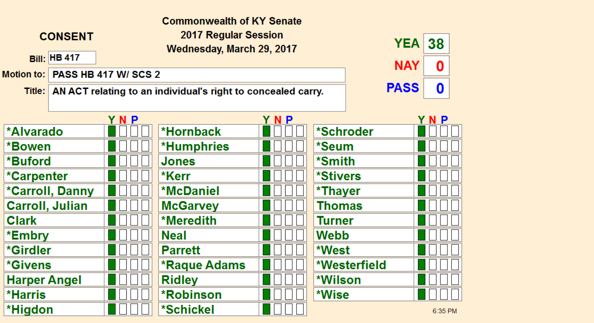| <b>Commonwealth of KY Senate</b> |                                                                                    |                                                   |                     |     |                        |             |         |  |
|----------------------------------|------------------------------------------------------------------------------------|---------------------------------------------------|---------------------|-----|------------------------|-------------|---------|--|
|                                  | <b>CONSENT</b>                                                                     | 2017 Regular Session<br>Wednesday, March 29, 2017 |                     |     |                        | <b>YEA</b>  | 38      |  |
|                                  | <b>Bill: HB 417</b>                                                                |                                                   | <b>NAY</b><br>0     |     |                        |             |         |  |
| <b>Motion to:</b>                |                                                                                    | <b>PASS HB 417 W/ SCS 2</b>                       |                     |     |                        |             |         |  |
|                                  | <b>PASS</b><br>Title: AN ACT relating to an individual's right to concealed carry. |                                                   |                     |     |                        | $\mathbf 0$ |         |  |
|                                  |                                                                                    |                                                   |                     |     |                        |             |         |  |
|                                  |                                                                                    | YNP                                               |                     | YNP |                        |             | YNP     |  |
| <b>*Alvarado</b>                 |                                                                                    |                                                   | *Hornback           |     | *Schroder              |             |         |  |
| *Bowen                           |                                                                                    |                                                   | *Humphries          |     | *Seum                  |             |         |  |
| *Buford                          |                                                                                    |                                                   | <b>Jones</b>        |     | *Smith                 |             |         |  |
| *Carpenter                       |                                                                                    |                                                   | *Kerr               |     | <i><b>*Stivers</b></i> |             |         |  |
|                                  | <b>*Carroll, Danny</b>                                                             |                                                   | <b>*McDaniel</b>    |     | *Thayer                |             |         |  |
|                                  | <b>Carroll, Julian</b>                                                             |                                                   | <b>McGarvey</b>     |     | Thomas                 |             |         |  |
| <b>Clark</b>                     |                                                                                    |                                                   | <b>*Meredith</b>    |     | Turner                 |             |         |  |
| *Embry                           |                                                                                    |                                                   | <b>Neal</b>         |     | Webb                   |             |         |  |
| *Girdler                         |                                                                                    |                                                   | <b>Parrett</b>      |     | *West                  |             |         |  |
| <b>*Givens</b>                   |                                                                                    |                                                   | <b>*Raque Adams</b> |     | *Westerfield           |             |         |  |
| <b>Harper Angel</b>              |                                                                                    |                                                   | <b>Ridley</b>       |     | *Wilson                |             |         |  |
| *Harris                          |                                                                                    |                                                   | <b>*Robinson</b>    |     | *Wise                  |             |         |  |
| *Higdon                          |                                                                                    |                                                   | *Schickel           |     |                        |             | 6:35 PM |  |